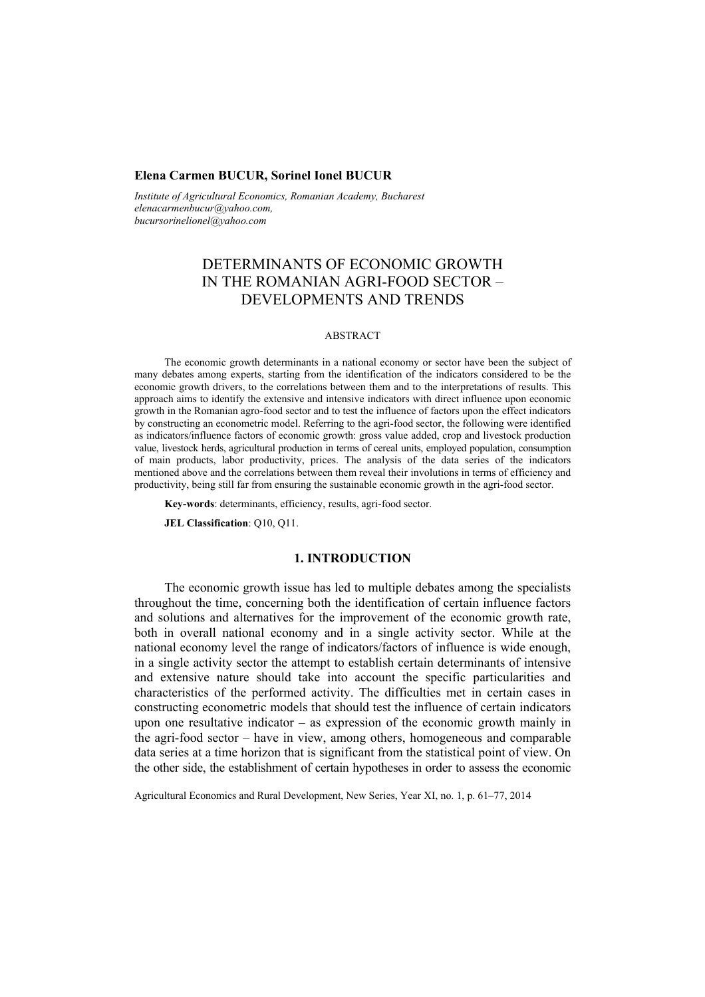### **Elena Carmen BUCUR, Sorinel Ionel BUCUR**

*Institute of Agricultural Economics, Romanian Academy, Bucharest elenacarmenbucur@yahoo.com, bucursorinelionel@yahoo.com* 

# DETERMINANTS OF ECONOMIC GROWTH IN THE ROMANIAN AGRI-FOOD SECTOR – DEVELOPMENTS AND TRENDS

#### ABSTRACT

The economic growth determinants in a national economy or sector have been the subject of many debates among experts, starting from the identification of the indicators considered to be the economic growth drivers, to the correlations between them and to the interpretations of results. This approach aims to identify the extensive and intensive indicators with direct influence upon economic growth in the Romanian agro-food sector and to test the influence of factors upon the effect indicators by constructing an econometric model. Referring to the agri-food sector, the following were identified as indicators/influence factors of economic growth: gross value added, crop and livestock production value, livestock herds, agricultural production in terms of cereal units, employed population, consumption of main products, labor productivity, prices. The analysis of the data series of the indicators mentioned above and the correlations between them reveal their involutions in terms of efficiency and productivity, being still far from ensuring the sustainable economic growth in the agri-food sector.

**Key-words**: determinants, efficiency, results, agri-food sector.

**JEL Classification**: Q10, Q11.

### **1. INTRODUCTION**

The economic growth issue has led to multiple debates among the specialists throughout the time, concerning both the identification of certain influence factors and solutions and alternatives for the improvement of the economic growth rate, both in overall national economy and in a single activity sector. While at the national economy level the range of indicators/factors of influence is wide enough, in a single activity sector the attempt to establish certain determinants of intensive and extensive nature should take into account the specific particularities and characteristics of the performed activity. The difficulties met in certain cases in constructing econometric models that should test the influence of certain indicators upon one resultative indicator – as expression of the economic growth mainly in the agri-food sector – have in view, among others, homogeneous and comparable data series at a time horizon that is significant from the statistical point of view. On the other side, the establishment of certain hypotheses in order to assess the economic

Agricultural Economics and Rural Development, New Series, Year XI, no. 1, p. 61–77, 2014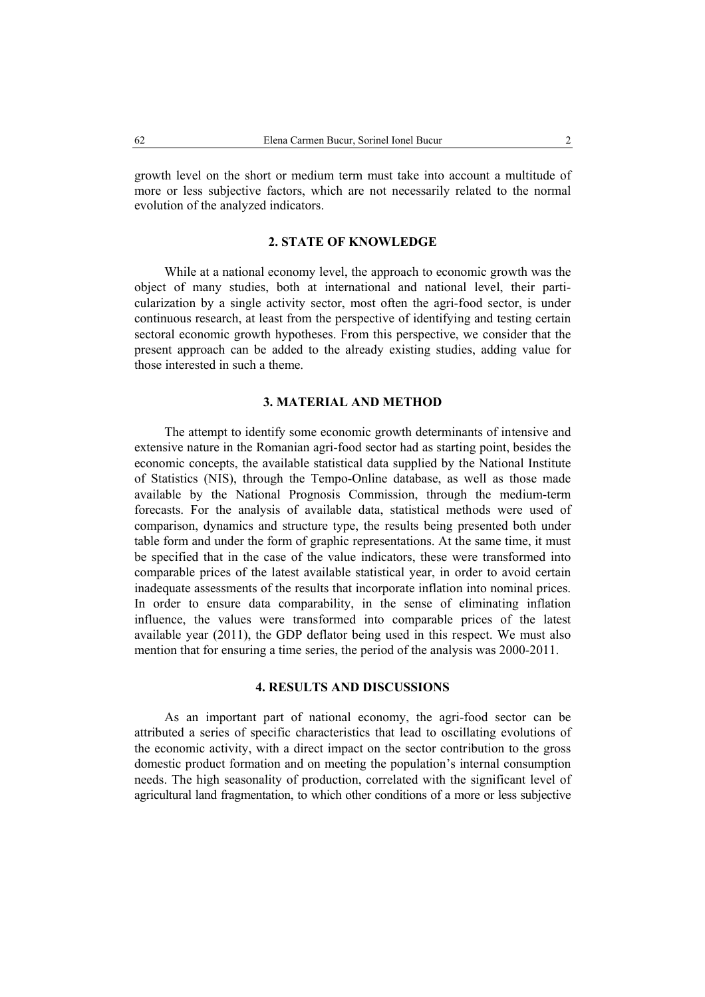growth level on the short or medium term must take into account a multitude of more or less subjective factors, which are not necessarily related to the normal evolution of the analyzed indicators.

## **2. STATE OF KNOWLEDGE**

While at a national economy level, the approach to economic growth was the object of many studies, both at international and national level, their particularization by a single activity sector, most often the agri-food sector, is under continuous research, at least from the perspective of identifying and testing certain sectoral economic growth hypotheses. From this perspective, we consider that the present approach can be added to the already existing studies, adding value for those interested in such a theme.

### **3. MATERIAL AND METHOD**

The attempt to identify some economic growth determinants of intensive and extensive nature in the Romanian agri-food sector had as starting point, besides the economic concepts, the available statistical data supplied by the National Institute of Statistics (NIS), through the Tempo-Online database, as well as those made available by the National Prognosis Commission, through the medium-term forecasts. For the analysis of available data, statistical methods were used of comparison, dynamics and structure type, the results being presented both under table form and under the form of graphic representations. At the same time, it must be specified that in the case of the value indicators, these were transformed into comparable prices of the latest available statistical year, in order to avoid certain inadequate assessments of the results that incorporate inflation into nominal prices. In order to ensure data comparability, in the sense of eliminating inflation influence, the values were transformed into comparable prices of the latest available year (2011), the GDP deflator being used in this respect. We must also mention that for ensuring a time series, the period of the analysis was 2000-2011.

### **4. RESULTS AND DISCUSSIONS**

As an important part of national economy, the agri-food sector can be attributed a series of specific characteristics that lead to oscillating evolutions of the economic activity, with a direct impact on the sector contribution to the gross domestic product formation and on meeting the population's internal consumption needs. The high seasonality of production, correlated with the significant level of agricultural land fragmentation, to which other conditions of a more or less subjective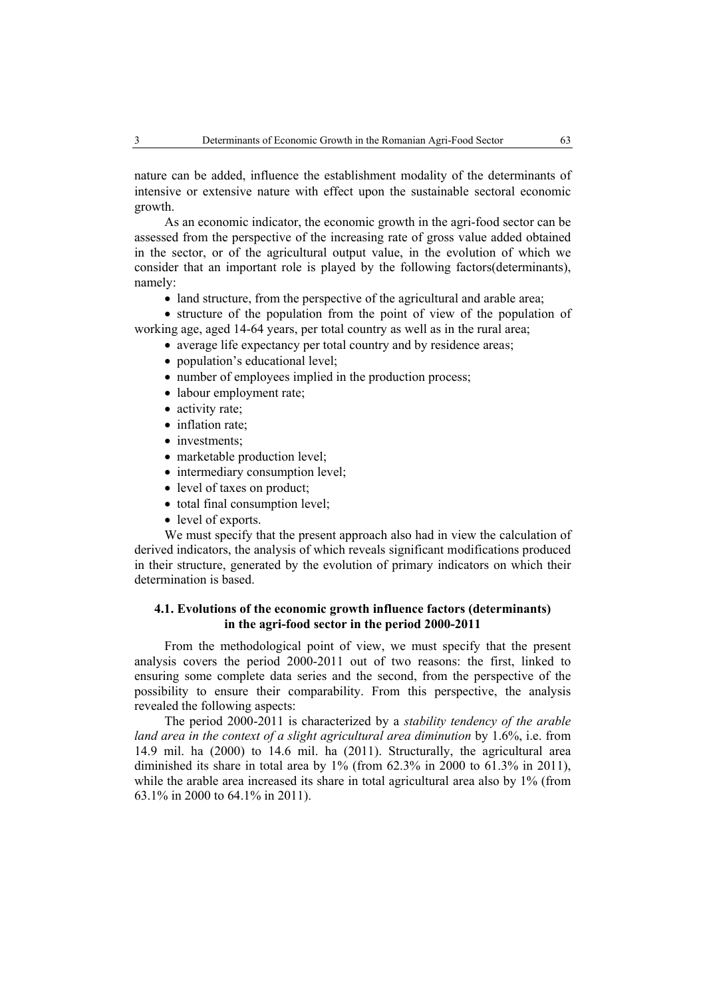nature can be added, influence the establishment modality of the determinants of intensive or extensive nature with effect upon the sustainable sectoral economic growth.

As an economic indicator, the economic growth in the agri-food sector can be assessed from the perspective of the increasing rate of gross value added obtained in the sector, or of the agricultural output value, in the evolution of which we consider that an important role is played by the following factors(determinants), namely:

• land structure, from the perspective of the agricultural and arable area;

• structure of the population from the point of view of the population of working age, aged 14-64 years, per total country as well as in the rural area;

- average life expectancy per total country and by residence areas;
- population's educational level:
- number of employees implied in the production process;
- labour employment rate;
- activity rate;
- inflation rate:
- investments;
- marketable production level;
- intermediary consumption level;
- level of taxes on product;
- total final consumption level;
- level of exports.

We must specify that the present approach also had in view the calculation of derived indicators, the analysis of which reveals significant modifications produced in their structure, generated by the evolution of primary indicators on which their determination is based.

### **4.1. Evolutions of the economic growth influence factors (determinants) in the agri-food sector in the period 2000-2011**

From the methodological point of view, we must specify that the present analysis covers the period 2000-2011 out of two reasons: the first, linked to ensuring some complete data series and the second, from the perspective of the possibility to ensure their comparability. From this perspective, the analysis revealed the following aspects:

The period 2000-2011 is characterized by a *stability tendency of the arable land area in the context of a slight agricultural area diminution* by 1.6%, i.e. from 14.9 mil. ha (2000) to 14.6 mil. ha (2011). Structurally, the agricultural area diminished its share in total area by 1% (from 62.3% in 2000 to 61.3% in 2011), while the arable area increased its share in total agricultural area also by 1% (from 63.1% in 2000 to 64.1% in 2011).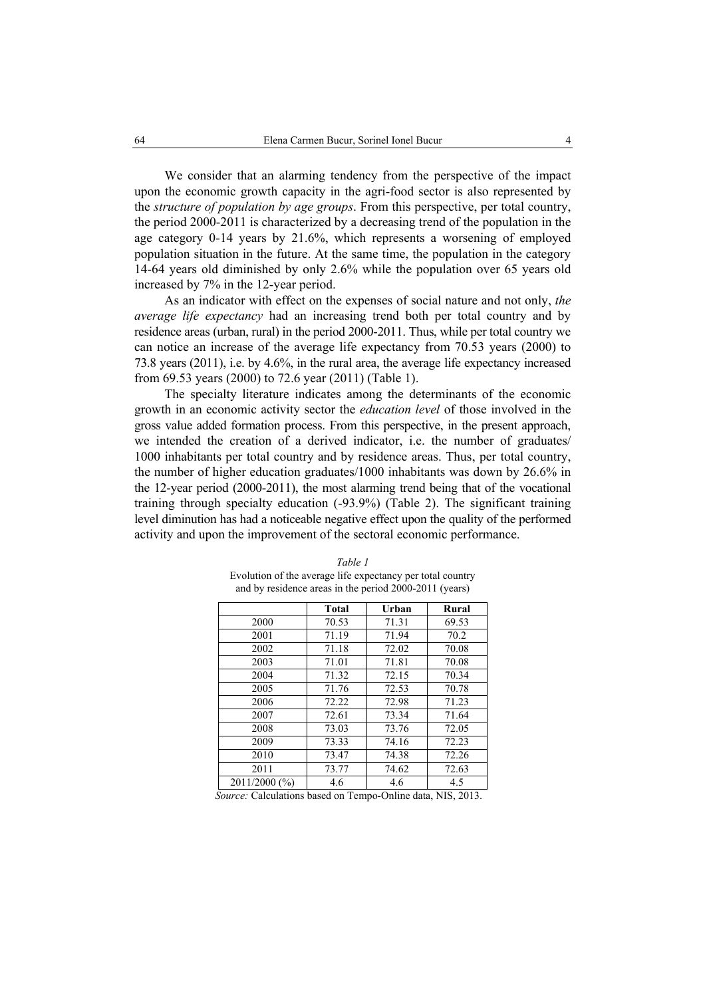We consider that an alarming tendency from the perspective of the impact upon the economic growth capacity in the agri-food sector is also represented by the *structure of population by age groups*. From this perspective, per total country, the period 2000-2011 is characterized by a decreasing trend of the population in the age category 0-14 years by 21.6%, which represents a worsening of employed population situation in the future. At the same time, the population in the category 14-64 years old diminished by only 2.6% while the population over 65 years old increased by 7% in the 12-year period.

As an indicator with effect on the expenses of social nature and not only, *the average life expectancy* had an increasing trend both per total country and by residence areas (urban, rural) in the period 2000-2011. Thus, while per total country we can notice an increase of the average life expectancy from 70.53 years (2000) to 73.8 years (2011), i.e. by 4.6%, in the rural area, the average life expectancy increased from 69.53 years (2000) to 72.6 year (2011) (Table 1).

The specialty literature indicates among the determinants of the economic growth in an economic activity sector the *education level* of those involved in the gross value added formation process. From this perspective, in the present approach, we intended the creation of a derived indicator, i.e. the number of graduates/ 1000 inhabitants per total country and by residence areas. Thus, per total country, the number of higher education graduates/1000 inhabitants was down by 26.6% in the 12-year period (2000-2011), the most alarming trend being that of the vocational training through specialty education (-93.9%) (Table 2). The significant training level diminution has had a noticeable negative effect upon the quality of the performed activity and upon the improvement of the sectoral economic performance.

|               | <b>Total</b> | Urban | Rural |
|---------------|--------------|-------|-------|
| 2000          | 70.53        | 71.31 | 69.53 |
| 2001          | 71.19        | 71.94 | 70.2  |
| 2002          | 71.18        | 72.02 | 70.08 |
| 2003          | 71.01        | 71.81 | 70.08 |
| 2004          | 71.32        | 72.15 | 70.34 |
| 2005          | 71.76        | 72.53 | 70.78 |
| 2006          | 72.22        | 72.98 | 71.23 |
| 2007          | 72.61        | 73.34 | 71.64 |
| 2008          | 73.03        | 73.76 | 72.05 |
| 2009          | 73.33        | 74.16 | 72.23 |
| 2010          | 73.47        | 74.38 | 72.26 |
| 2011          | 73.77        | 74.62 | 72.63 |
| 2011/2000 (%) | 4.6          | 4.6   | 4.5   |

*Table 1*  Evolution of the average life expectancy per total country and by residence areas in the period 2000-2011 (years)

 *Source:* Calculations based on Tempo-Online data, NIS, 2013.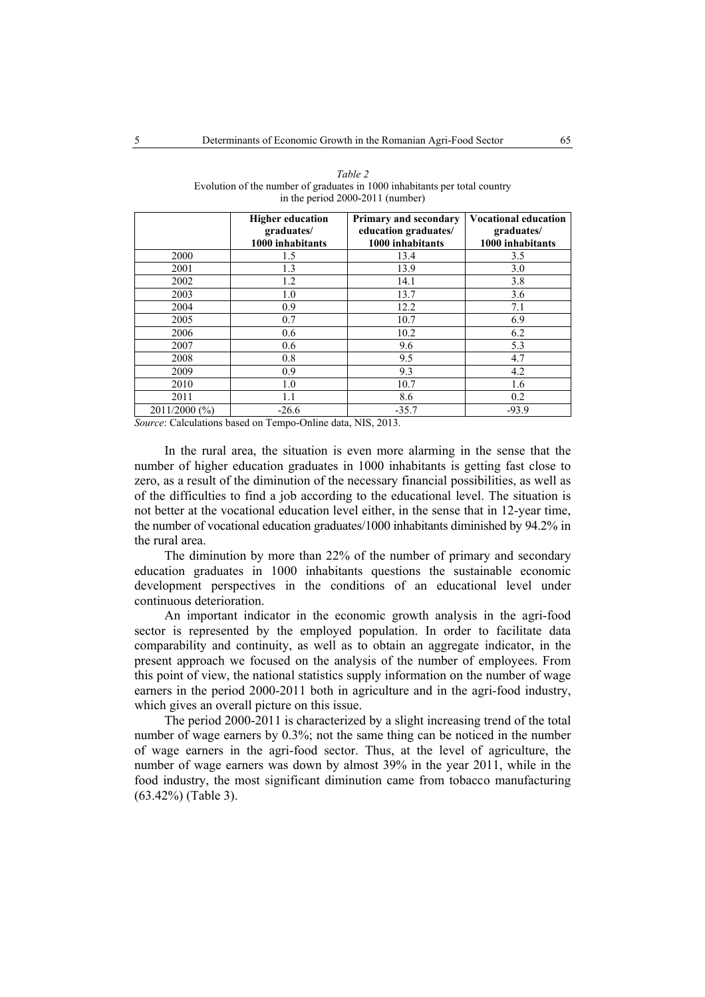|               | <b>Higher education</b><br>graduates/<br>1000 inhabitants | <b>Primary and secondary</b><br>education graduates/<br>1000 inhabitants | <b>Vocational education</b><br>graduates/<br>1000 inhabitants |
|---------------|-----------------------------------------------------------|--------------------------------------------------------------------------|---------------------------------------------------------------|
| 2000          | 1.5                                                       | 13.4                                                                     | 3.5                                                           |
| 2001          | 1.3                                                       | 13.9                                                                     | 3.0                                                           |
| 2002          | 1.2                                                       | 14.1                                                                     | 3.8                                                           |
| 2003          | 1.0                                                       | 13.7                                                                     | 3.6                                                           |
| 2004          | 0.9                                                       | 12.2                                                                     | 7.1                                                           |
| 2005          | 0.7                                                       | 10.7                                                                     | 6.9                                                           |
| 2006          | 0.6                                                       | 10.2                                                                     | 6.2                                                           |
| 2007          | 0.6                                                       | 9.6                                                                      | 5.3                                                           |
| 2008          | 0.8                                                       | 9.5                                                                      | 4.7                                                           |
| 2009          | 0.9                                                       | 9.3                                                                      | 4.2                                                           |
| 2010          | 1.0                                                       | 10.7                                                                     | 1.6                                                           |
| 2011          | 1.1                                                       | 8.6                                                                      | 0.2                                                           |
| 2011/2000 (%) | $-26.6$                                                   | $-35.7$                                                                  | $-93.9$                                                       |

| Table 2                                                                    |
|----------------------------------------------------------------------------|
| Evolution of the number of graduates in 1000 inhabitants per total country |
| in the period $2000-2011$ (number)                                         |

*Source*: Calculations based on Tempo-Online data, NIS, 2013.

In the rural area, the situation is even more alarming in the sense that the number of higher education graduates in 1000 inhabitants is getting fast close to zero, as a result of the diminution of the necessary financial possibilities, as well as of the difficulties to find a job according to the educational level. The situation is not better at the vocational education level either, in the sense that in 12-year time, the number of vocational education graduates/1000 inhabitants diminished by 94.2% in the rural area.

The diminution by more than 22% of the number of primary and secondary education graduates in 1000 inhabitants questions the sustainable economic development perspectives in the conditions of an educational level under continuous deterioration.

An important indicator in the economic growth analysis in the agri-food sector is represented by the employed population. In order to facilitate data comparability and continuity, as well as to obtain an aggregate indicator, in the present approach we focused on the analysis of the number of employees. From this point of view, the national statistics supply information on the number of wage earners in the period 2000-2011 both in agriculture and in the agri-food industry, which gives an overall picture on this issue.

The period 2000-2011 is characterized by a slight increasing trend of the total number of wage earners by 0.3%; not the same thing can be noticed in the number of wage earners in the agri-food sector. Thus, at the level of agriculture, the number of wage earners was down by almost 39% in the year 2011, while in the food industry, the most significant diminution came from tobacco manufacturing (63.42%) (Table 3).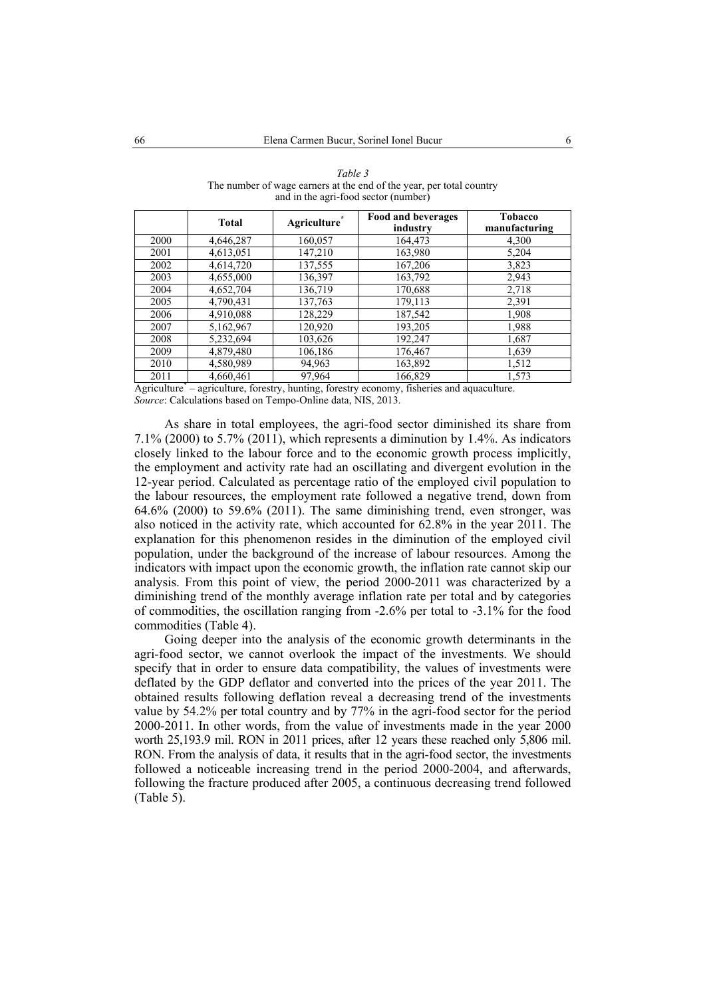|      | <b>Total</b> | Agriculture <sup>®</sup> | Food and beverages<br>industry | <b>Tobacco</b><br>manufacturing |
|------|--------------|--------------------------|--------------------------------|---------------------------------|
| 2000 | 4,646,287    | 160.057                  | 164.473                        | 4,300                           |
| 2001 | 4,613,051    | 147,210                  | 163,980                        | 5,204                           |
| 2002 | 4,614,720    | 137,555                  | 167,206                        | 3,823                           |
| 2003 | 4,655,000    | 136,397                  | 163,792                        | 2,943                           |
| 2004 | 4,652,704    | 136,719                  | 170,688                        | 2,718                           |
| 2005 | 4.790.431    | 137,763                  | 179,113                        | 2,391                           |
| 2006 | 4,910,088    | 128,229                  | 187,542                        | 1,908                           |
| 2007 | 5,162,967    | 120,920                  | 193,205                        | 1,988                           |
| 2008 | 5,232,694    | 103,626                  | 192,247                        | 1,687                           |
| 2009 | 4,879,480    | 106,186                  | 176,467                        | 1,639                           |
| 2010 | 4,580,989    | 94,963                   | 163,892                        | 1,512                           |
| 2011 | 4,660,461    | 97,964                   | 166,829                        | 1,573                           |

*Table 3*  The number of wage earners at the end of the year, per total country and in the agri-food sector (number)

Agriculture\* – agriculture, forestry, hunting, forestry economy, fisheries and aquaculture. *Source*: Calculations based on Tempo-Online data, NIS, 2013.

As share in total employees, the agri-food sector diminished its share from 7.1% (2000) to 5.7% (2011), which represents a diminution by 1.4%. As indicators closely linked to the labour force and to the economic growth process implicitly, the employment and activity rate had an oscillating and divergent evolution in the 12-year period. Calculated as percentage ratio of the employed civil population to the labour resources, the employment rate followed a negative trend, down from 64.6% (2000) to 59.6% (2011). The same diminishing trend, even stronger, was also noticed in the activity rate, which accounted for 62.8% in the year 2011. The explanation for this phenomenon resides in the diminution of the employed civil population, under the background of the increase of labour resources. Among the indicators with impact upon the economic growth, the inflation rate cannot skip our analysis. From this point of view, the period 2000-2011 was characterized by a diminishing trend of the monthly average inflation rate per total and by categories of commodities, the oscillation ranging from -2.6% per total to -3.1% for the food commodities (Table 4).

Going deeper into the analysis of the economic growth determinants in the agri-food sector, we cannot overlook the impact of the investments. We should specify that in order to ensure data compatibility, the values of investments were deflated by the GDP deflator and converted into the prices of the year 2011. The obtained results following deflation reveal a decreasing trend of the investments value by 54.2% per total country and by 77% in the agri-food sector for the period 2000-2011. In other words, from the value of investments made in the year 2000 worth 25,193.9 mil. RON in 2011 prices, after 12 years these reached only 5,806 mil. RON. From the analysis of data, it results that in the agri-food sector, the investments followed a noticeable increasing trend in the period 2000-2004, and afterwards, following the fracture produced after 2005, a continuous decreasing trend followed (Table 5).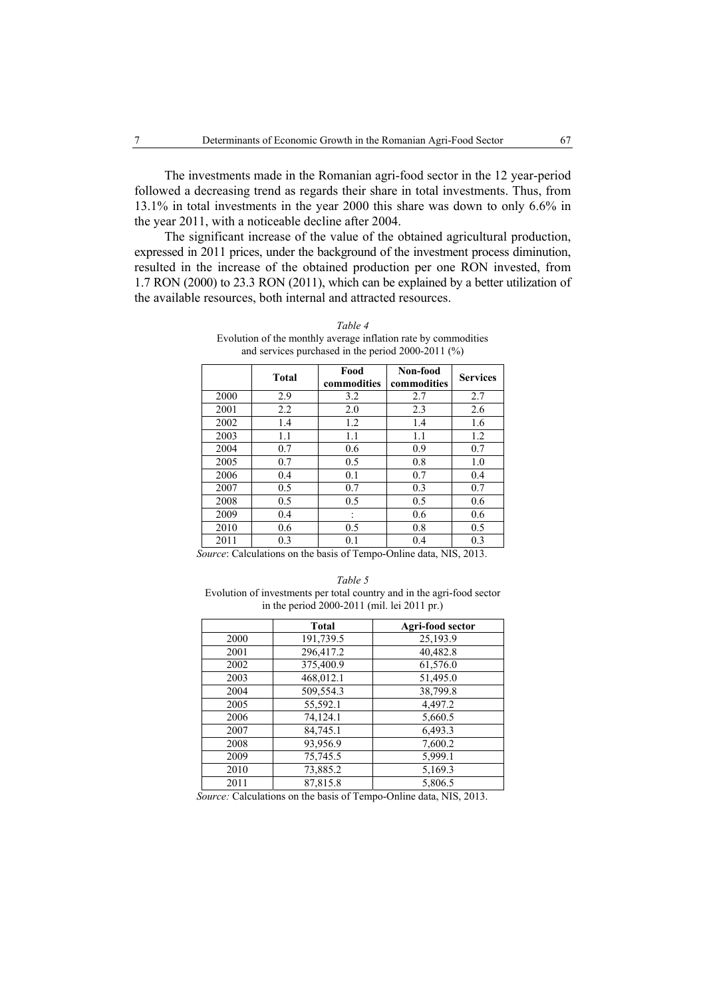The investments made in the Romanian agri-food sector in the 12 year-period followed a decreasing trend as regards their share in total investments. Thus, from 13.1% in total investments in the year 2000 this share was down to only 6.6% in the year 2011, with a noticeable decline after 2004.

The significant increase of the value of the obtained agricultural production, expressed in 2011 prices, under the background of the investment process diminution, resulted in the increase of the obtained production per one RON invested, from 1.7 RON (2000) to 23.3 RON (2011), which can be explained by a better utilization of the available resources, both internal and attracted resources.

|      | <b>Total</b> | Food<br>commodities | Non-food<br>commodities | <b>Services</b> |
|------|--------------|---------------------|-------------------------|-----------------|
| 2000 | 2.9          | 3.2                 | 2.7                     | 2.7             |
| 2001 | 2.2          | 2.0                 | 2.3                     | 2.6             |
| 2002 | 1.4          | 1.2                 | 1.4                     | 1.6             |
| 2003 | 1.1          | 1.1                 | 1.1                     | 1.2             |
| 2004 | 0.7          | 0.6                 | 0.9                     | 0.7             |
| 2005 | 0.7          | 0.5                 | 0.8                     | 1.0             |
| 2006 | 0.4          | 0.1                 | 0.7                     | 0.4             |
| 2007 | 0.5          | 0.7                 | 0.3                     | 0.7             |
| 2008 | 0.5          | 0.5                 | 0.5                     | 0.6             |
| 2009 | 0.4          | ٠                   | 0.6                     | 0.6             |
| 2010 | 0.6          | 0.5                 | 0.8                     | 0.5             |
| 2011 | 0.3          | 0.1                 | 0.4                     | 0.3             |

*Table 4*  Evolution of the monthly average inflation rate by commodities and services purchased in the period 2000-2011 (%)

 *Source*: Calculations on the basis of Tempo-Online data, NIS, 2013.

*Table 5*  Evolution of investments per total country and in the agri-food sector in the period 2000-2011 (mil. lei 2011 pr.)

|      | <b>Total</b> | Agri-food sector |
|------|--------------|------------------|
| 2000 | 191,739.5    | 25,193.9         |
| 2001 | 296,417.2    | 40.482.8         |
| 2002 | 375,400.9    | 61,576.0         |
| 2003 | 468,012.1    | 51,495.0         |
| 2004 | 509,554.3    | 38,799.8         |
| 2005 | 55,592.1     | 4,497.2          |
| 2006 | 74,124.1     | 5,660.5          |
| 2007 | 84,745.1     | 6,493.3          |
| 2008 | 93,956.9     | 7,600.2          |
| 2009 | 75,745.5     | 5,999.1          |
| 2010 | 73,885.2     | 5,169.3          |
| 2011 | 87,815.8     | 5,806.5          |

 *Source:* Calculations on the basis of Tempo-Online data, NIS, 2013.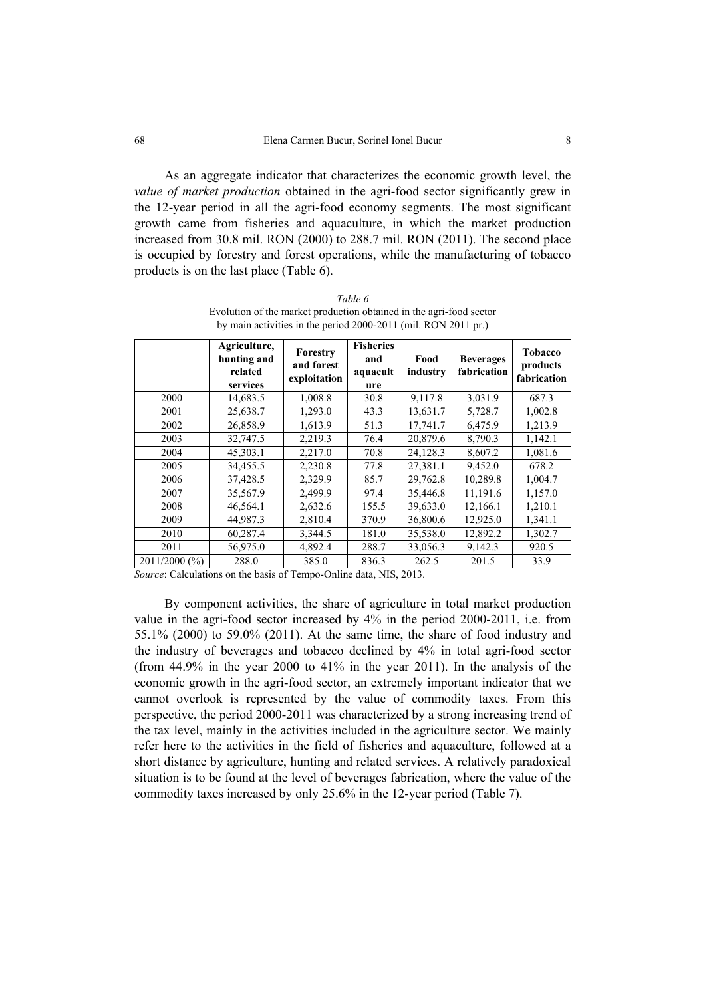As an aggregate indicator that characterizes the economic growth level, the *value of market production* obtained in the agri-food sector significantly grew in the 12-year period in all the agri-food economy segments. The most significant growth came from fisheries and aquaculture, in which the market production increased from 30.8 mil. RON (2000) to 288.7 mil. RON (2011). The second place is occupied by forestry and forest operations, while the manufacturing of tobacco products is on the last place (Table 6).

|                 | Agriculture,<br>hunting and<br>related<br>services | Forestry<br>and forest<br>exploitation | <b>Fisheries</b><br>and<br>aquacult<br>ure | Food<br>industry | <b>Beverages</b><br>fabrication | <b>Tobacco</b><br>products<br>fabrication |
|-----------------|----------------------------------------------------|----------------------------------------|--------------------------------------------|------------------|---------------------------------|-------------------------------------------|
| 2000            | 14,683.5                                           | 1,008.8                                | 30.8                                       | 9,117.8          | 3,031.9                         | 687.3                                     |
| 2001            | 25,638.7                                           | 1,293.0                                | 43.3                                       | 13,631.7         | 5,728.7                         | 1,002.8                                   |
| 2002            | 26,858.9                                           | 1,613.9                                | 51.3                                       | 17,741.7         | 6,475.9                         | 1,213.9                                   |
| 2003            | 32,747.5                                           | 2,219.3                                | 76.4                                       | 20,879.6         | 8,790.3                         | 1,142.1                                   |
| 2004            | 45,303.1                                           | 2,217.0                                | 70.8                                       | 24,128.3         | 8,607.2                         | 1,081.6                                   |
| 2005            | 34,455.5                                           | 2,230.8                                | 77.8                                       | 27,381.1         | 9,452.0                         | 678.2                                     |
| 2006            | 37,428.5                                           | 2,329.9                                | 85.7                                       | 29,762.8         | 10,289.8                        | 1,004.7                                   |
| 2007            | 35,567.9                                           | 2,499.9                                | 97.4                                       | 35,446.8         | 11,191.6                        | 1,157.0                                   |
| 2008            | 46,564.1                                           | 2,632.6                                | 155.5                                      | 39,633.0         | 12,166.1                        | 1,210.1                                   |
| 2009            | 44,987.3                                           | 2,810.4                                | 370.9                                      | 36,800.6         | 12,925.0                        | 1,341.1                                   |
| 2010            | 60,287.4                                           | 3,344.5                                | 181.0                                      | 35,538.0         | 12,892.2                        | 1,302.7                                   |
| 2011            | 56,975.0                                           | 4,892.4                                | 288.7                                      | 33,056.3         | 9,142.3                         | 920.5                                     |
| $2011/2000$ (%) | 288.0                                              | 385.0                                  | 836.3                                      | 262.5            | 201.5                           | 33.9                                      |

*Table 6*  Evolution of the market production obtained in the agri-food sector by main activities in the period 2000-2011 (mil. RON 2011 pr.)

*Source*: Calculations on the basis of Tempo-Online data, NIS, 2013.

By component activities, the share of agriculture in total market production value in the agri-food sector increased by 4% in the period 2000-2011, i.e. from 55.1% (2000) to 59.0% (2011). At the same time, the share of food industry and the industry of beverages and tobacco declined by 4% in total agri-food sector (from 44.9% in the year 2000 to 41% in the year 2011). In the analysis of the economic growth in the agri-food sector, an extremely important indicator that we cannot overlook is represented by the value of commodity taxes. From this perspective, the period 2000-2011 was characterized by a strong increasing trend of the tax level, mainly in the activities included in the agriculture sector. We mainly refer here to the activities in the field of fisheries and aquaculture, followed at a short distance by agriculture, hunting and related services. A relatively paradoxical situation is to be found at the level of beverages fabrication, where the value of the commodity taxes increased by only 25.6% in the 12-year period (Table 7).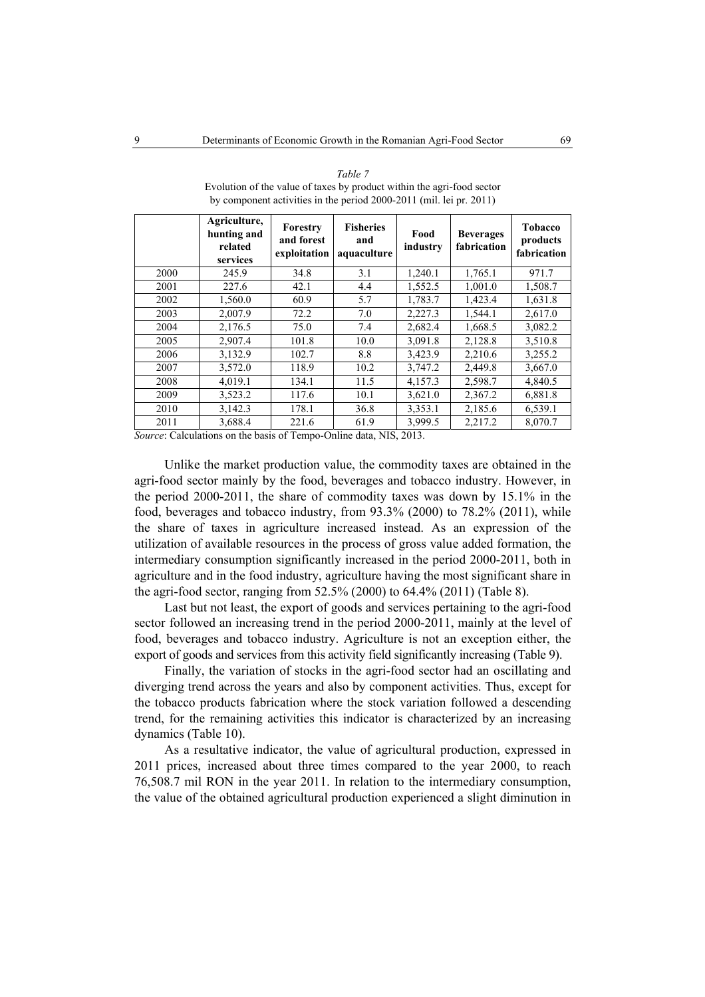|      | Agriculture,<br>hunting and<br>related<br>services | Forestry<br>and forest<br>exploitation | <b>Fisheries</b><br>and<br>aquaculture | Food<br>industry | <b>Beverages</b><br>fabrication | <b>Tobacco</b><br>products<br>fabrication |
|------|----------------------------------------------------|----------------------------------------|----------------------------------------|------------------|---------------------------------|-------------------------------------------|
| 2000 | 245.9                                              | 34.8                                   | 3.1                                    | 1,240.1          | 1,765.1                         | 971.7                                     |
| 2001 | 227.6                                              | 42.1                                   | 4.4                                    | 1,552.5          | 1,001.0                         | 1,508.7                                   |
| 2002 | 1,560.0                                            | 60.9                                   | 5.7                                    | 1,783.7          | 1,423.4                         | 1,631.8                                   |
| 2003 | 2,007.9                                            | 72.2                                   | 7.0                                    | 2,227.3          | 1,544.1                         | 2,617.0                                   |
| 2004 | 2,176.5                                            | 75.0                                   | 7.4                                    | 2,682.4          | 1,668.5                         | 3,082.2                                   |
| 2005 | 2,907.4                                            | 101.8                                  | 10.0                                   | 3,091.8          | 2,128.8                         | 3,510.8                                   |
| 2006 | 3,132.9                                            | 102.7                                  | 8.8                                    | 3,423.9          | 2,210.6                         | 3,255.2                                   |
| 2007 | 3,572.0                                            | 118.9                                  | 10.2                                   | 3,747.2          | 2,449.8                         | 3,667.0                                   |
| 2008 | 4,019.1                                            | 134.1                                  | 11.5                                   | 4,157.3          | 2,598.7                         | 4,840.5                                   |
| 2009 | 3,523.2                                            | 117.6                                  | 10.1                                   | 3,621.0          | 2,367.2                         | 6,881.8                                   |
| 2010 | 3,142.3                                            | 178.1                                  | 36.8                                   | 3,353.1          | 2,185.6                         | 6,539.1                                   |
| 2011 | 3.688.4                                            | 221.6                                  | 61.9                                   | 3.999.5          | 2.217.2                         | 8,070.7                                   |

*Table 7*  Evolution of the value of taxes by product within the agri-food sector by component activities in the period 2000-2011 (mil. lei pr. 2011)

*Source*: Calculations on the basis of Tempo-Online data, NIS, 2013.

Unlike the market production value, the commodity taxes are obtained in the agri-food sector mainly by the food, beverages and tobacco industry. However, in the period 2000-2011, the share of commodity taxes was down by 15.1% in the food, beverages and tobacco industry, from 93.3% (2000) to 78.2% (2011), while the share of taxes in agriculture increased instead. As an expression of the utilization of available resources in the process of gross value added formation, the intermediary consumption significantly increased in the period 2000-2011, both in agriculture and in the food industry, agriculture having the most significant share in the agri-food sector, ranging from 52.5% (2000) to 64.4% (2011) (Table 8).

Last but not least, the export of goods and services pertaining to the agri-food sector followed an increasing trend in the period 2000-2011, mainly at the level of food, beverages and tobacco industry. Agriculture is not an exception either, the export of goods and services from this activity field significantly increasing (Table 9).

Finally, the variation of stocks in the agri-food sector had an oscillating and diverging trend across the years and also by component activities. Thus, except for the tobacco products fabrication where the stock variation followed a descending trend, for the remaining activities this indicator is characterized by an increasing dynamics (Table 10).

As a resultative indicator, the value of agricultural production, expressed in 2011 prices, increased about three times compared to the year 2000, to reach 76,508.7 mil RON in the year 2011. In relation to the intermediary consumption, the value of the obtained agricultural production experienced a slight diminution in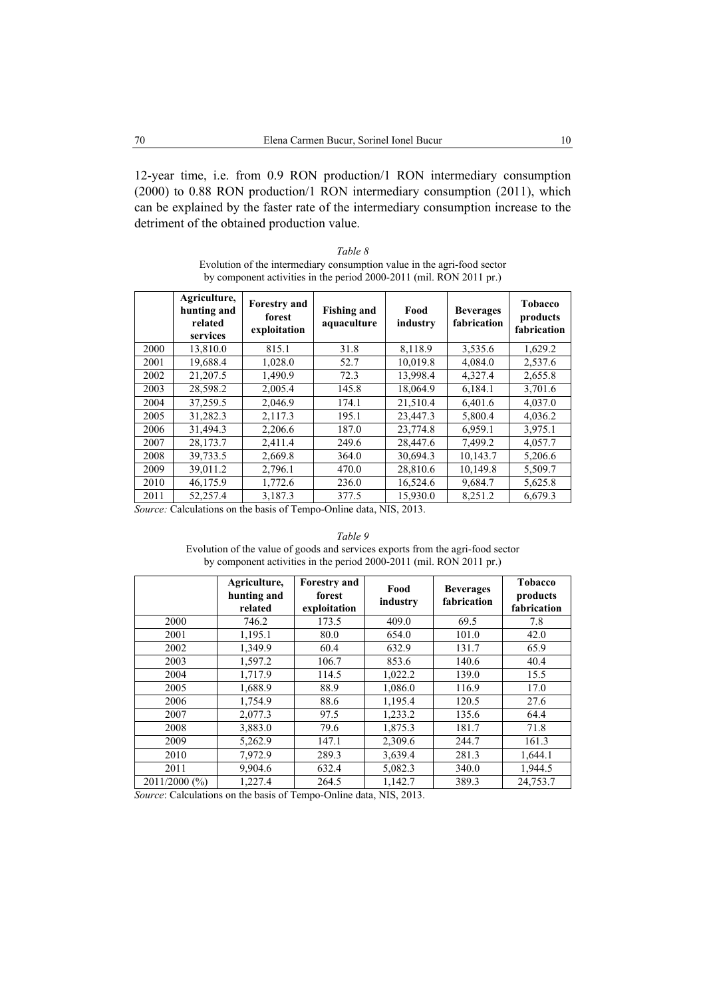12-year time, i.e. from 0.9 RON production/1 RON intermediary consumption (2000) to 0.88 RON production/1 RON intermediary consumption (2011), which can be explained by the faster rate of the intermediary consumption increase to the detriment of the obtained production value.

*Table 8*  Evolution of the intermediary consumption value in the agri-food sector by component activities in the period 2000-2011 (mil. RON 2011 pr.)

|      | Agriculture,<br>hunting and<br>related<br>services | <b>Forestry and</b><br>forest<br>exploitation | <b>Fishing and</b><br>aquaculture | Food<br>industry | <b>Beverages</b><br>fabrication | <b>Tobacco</b><br>products<br>fabrication |
|------|----------------------------------------------------|-----------------------------------------------|-----------------------------------|------------------|---------------------------------|-------------------------------------------|
| 2000 | 13,810.0                                           | 815.1                                         | 31.8                              | 8,118.9          | 3,535.6                         | 1,629.2                                   |
| 2001 | 19,688.4                                           | 1,028.0                                       | 52.7                              | 10,019.8         | 4,084.0                         | 2,537.6                                   |
| 2002 | 21.207.5                                           | 1,490.9                                       | 72.3                              | 13,998.4         | 4,327.4                         | 2,655.8                                   |
| 2003 | 28,598.2                                           | 2,005.4                                       | 145.8                             | 18,064.9         | 6,184.1                         | 3,701.6                                   |
| 2004 | 37,259.5                                           | 2,046.9                                       | 174.1                             | 21,510.4         | 6,401.6                         | 4,037.0                                   |
| 2005 | 31,282.3                                           | 2,117.3                                       | 195.1                             | 23,447.3         | 5,800.4                         | 4,036.2                                   |
| 2006 | 31,494.3                                           | 2,206.6                                       | 187.0                             | 23,774.8         | 6,959.1                         | 3,975.1                                   |
| 2007 | 28,173.7                                           | 2,411.4                                       | 249.6                             | 28,447.6         | 7,499.2                         | 4,057.7                                   |
| 2008 | 39,733.5                                           | 2,669.8                                       | 364.0                             | 30,694.3         | 10,143.7                        | 5,206.6                                   |
| 2009 | 39,011.2                                           | 2,796.1                                       | 470.0                             | 28,810.6         | 10,149.8                        | 5,509.7                                   |
| 2010 | 46,175.9                                           | 1,772.6                                       | 236.0                             | 16,524.6         | 9,684.7                         | 5,625.8                                   |
| 2011 | 52,257.4                                           | 3,187.3                                       | 377.5                             | 15,930.0         | 8,251.2                         | 6,679.3                                   |

*Source:* Calculations on the basis of Tempo-Online data, NIS, 2013.

*Table 9*  Evolution of the value of goods and services exports from the agri-food sector by component activities in the period 2000-2011 (mil. RON 2011 pr.)

|               | Agriculture,<br>hunting and<br>related | <b>Forestry and</b><br>forest<br>exploitation | Food<br>industry | <b>Beverages</b><br>fabrication | <b>Tobacco</b><br>products<br>fabrication |
|---------------|----------------------------------------|-----------------------------------------------|------------------|---------------------------------|-------------------------------------------|
| 2000          | 746.2                                  | 173.5                                         | 409.0            | 69.5                            | 7.8                                       |
| 2001          | 1,195.1                                | 80.0                                          | 654.0            | 101.0                           | 42.0                                      |
| 2002          | 1,349.9                                | 60.4                                          | 632.9            | 131.7                           | 65.9                                      |
| 2003          | 1,597.2                                | 106.7                                         | 853.6            | 140.6                           | 40.4                                      |
| 2004          | 1,717.9                                | 114.5                                         | 1,022.2          | 139.0                           | 15.5                                      |
| 2005          | 1,688.9                                | 88.9                                          | 1,086.0          | 116.9                           | 17.0                                      |
| 2006          | 1,754.9                                | 88.6                                          | 1,195.4          | 120.5                           | 27.6                                      |
| 2007          | 2,077.3                                | 97.5                                          | 1,233.2          | 135.6                           | 64.4                                      |
| 2008          | 3,883.0                                | 79.6                                          | 1,875.3          | 181.7                           | 71.8                                      |
| 2009          | 5,262.9                                | 147.1                                         | 2,309.6          | 244.7                           | 161.3                                     |
| 2010          | 7,972.9                                | 289.3                                         | 3,639.4          | 281.3                           | 1,644.1                                   |
| 2011          | 9,904.6                                | 632.4                                         | 5,082.3          | 340.0                           | 1,944.5                                   |
| 2011/2000 (%) | 1,227.4                                | 264.5                                         | 1,142.7          | 389.3                           | 24,753.7                                  |

*Source*: Calculations on the basis of Tempo-Online data, NIS, 2013.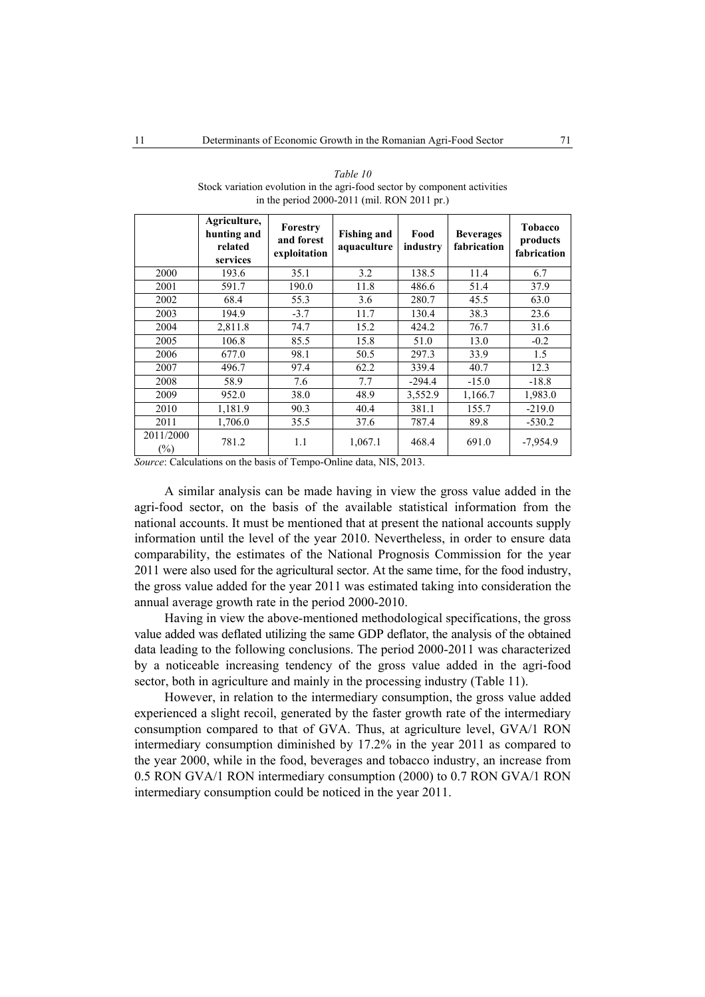|                     | Agriculture,<br>hunting and<br>related<br>services | Forestry<br>and forest<br>exploitation | <b>Fishing and</b><br>aquaculture | Food<br>industry | <b>Beverages</b><br>fabrication | Tobacco<br>products<br>fabrication |
|---------------------|----------------------------------------------------|----------------------------------------|-----------------------------------|------------------|---------------------------------|------------------------------------|
| 2000                | 193.6                                              | 35.1                                   | 3.2                               | 138.5            | 11.4                            | 6.7                                |
| 2001                | 591.7                                              | 190.0                                  | 11.8                              | 486.6            | 51.4                            | 37.9                               |
| 2002                | 68.4                                               | 55.3                                   | 3.6                               | 280.7            | 45.5                            | 63.0                               |
| 2003                | 194.9                                              | $-3.7$                                 | 11.7                              | 130.4            | 38.3                            | 23.6                               |
| 2004                | 2,811.8                                            | 74.7                                   | 15.2                              | 424.2            | 76.7                            | 31.6                               |
| 2005                | 106.8                                              | 85.5                                   | 15.8                              | 51.0             | 13.0                            | $-0.2$                             |
| 2006                | 677.0                                              | 98.1                                   | 50.5                              | 297.3            | 33.9                            | 1.5                                |
| 2007                | 496.7                                              | 97.4                                   | 62.2                              | 339.4            | 40.7                            | 12.3                               |
| 2008                | 58.9                                               | 7.6                                    | 7.7                               | $-294.4$         | $-15.0$                         | $-18.8$                            |
| 2009                | 952.0                                              | 38.0                                   | 48.9                              | 3,552.9          | 1,166.7                         | 1,983.0                            |
| 2010                | 1,181.9                                            | 90.3                                   | 40.4                              | 381.1            | 155.7                           | $-219.0$                           |
| 2011                | 1,706.0                                            | 35.5                                   | 37.6                              | 787.4            | 89.8                            | $-530.2$                           |
| 2011/2000<br>$(\%)$ | 781.2                                              | 1.1                                    | 1,067.1                           | 468.4            | 691.0                           | $-7,954.9$                         |

*Table 10*  Stock variation evolution in the agri-food sector by component activities in the period 2000-2011 (mil. RON 2011 pr.)

*Source*: Calculations on the basis of Tempo-Online data, NIS, 2013.

A similar analysis can be made having in view the gross value added in the agri-food sector, on the basis of the available statistical information from the national accounts. It must be mentioned that at present the national accounts supply information until the level of the year 2010. Nevertheless, in order to ensure data comparability, the estimates of the National Prognosis Commission for the year 2011 were also used for the agricultural sector. At the same time, for the food industry, the gross value added for the year 2011 was estimated taking into consideration the annual average growth rate in the period 2000-2010.

Having in view the above-mentioned methodological specifications, the gross value added was deflated utilizing the same GDP deflator, the analysis of the obtained data leading to the following conclusions. The period 2000-2011 was characterized by a noticeable increasing tendency of the gross value added in the agri-food sector, both in agriculture and mainly in the processing industry (Table 11).

However, in relation to the intermediary consumption, the gross value added experienced a slight recoil, generated by the faster growth rate of the intermediary consumption compared to that of GVA. Thus, at agriculture level, GVA/1 RON intermediary consumption diminished by 17.2% in the year 2011 as compared to the year 2000, while in the food, beverages and tobacco industry, an increase from 0.5 RON GVA/1 RON intermediary consumption (2000) to 0.7 RON GVA/1 RON intermediary consumption could be noticed in the year 2011.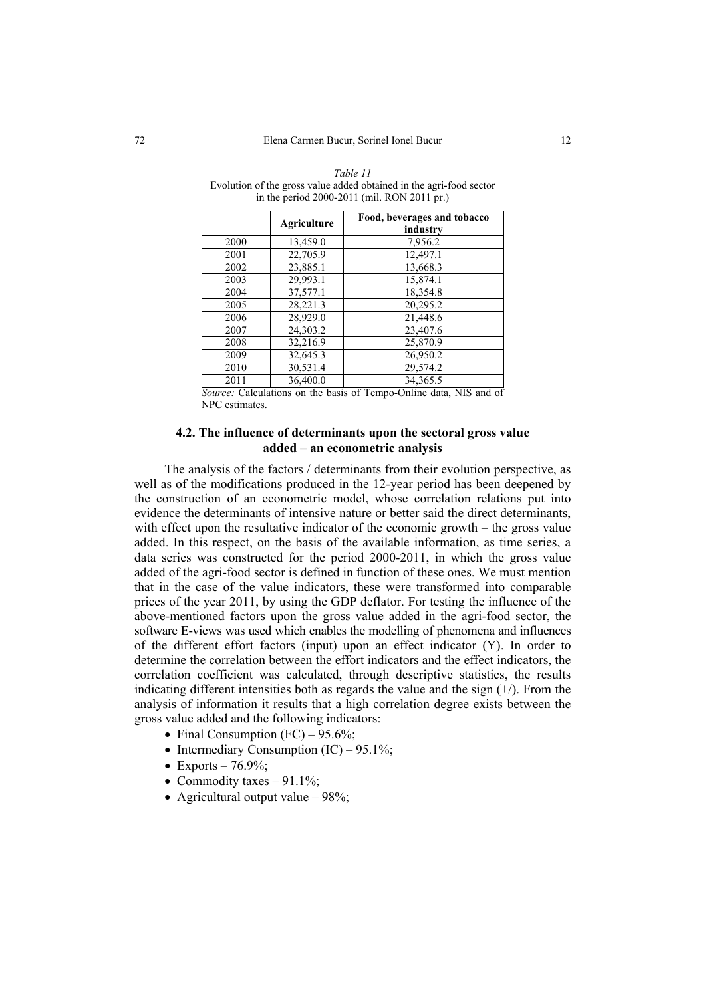|      | <b>Agriculture</b> | Food, beverages and tobacco<br>industry |
|------|--------------------|-----------------------------------------|
| 2000 | 13,459.0           | 7,956.2                                 |
| 2001 | 22,705.9           | 12,497.1                                |
| 2002 | 23,885.1           | 13,668.3                                |
| 2003 | 29,993.1           | 15,874.1                                |
| 2004 | 37,577.1           | 18.354.8                                |
| 2005 | 28,221.3           | 20,295.2                                |
| 2006 | 28,929.0           | 21,448.6                                |
| 2007 | 24,303.2           | 23,407.6                                |
| 2008 | 32,216.9           | 25,870.9                                |
| 2009 | 32,645.3           | 26,950.2                                |
| 2010 | 30,531.4           | 29,574.2                                |
| 2011 | 36,400.0           | 34.365.5                                |

*Table 11*  Evolution of the gross value added obtained in the agri-food sector in the period 2000-2011 (mil. RON 2011 pr.)

*Source:* Calculations on the basis of Tempo-Online data, NIS and of NPC estimates.

### **4.2. The influence of determinants upon the sectoral gross value added – an econometric analysis**

The analysis of the factors / determinants from their evolution perspective, as well as of the modifications produced in the 12-year period has been deepened by the construction of an econometric model, whose correlation relations put into evidence the determinants of intensive nature or better said the direct determinants, with effect upon the resultative indicator of the economic growth – the gross value added. In this respect, on the basis of the available information, as time series, a data series was constructed for the period 2000-2011, in which the gross value added of the agri-food sector is defined in function of these ones. We must mention that in the case of the value indicators, these were transformed into comparable prices of the year 2011, by using the GDP deflator. For testing the influence of the above-mentioned factors upon the gross value added in the agri-food sector, the software E-views was used which enables the modelling of phenomena and influences of the different effort factors (input) upon an effect indicator (Y). In order to determine the correlation between the effort indicators and the effect indicators, the correlation coefficient was calculated, through descriptive statistics, the results indicating different intensities both as regards the value and the sign  $(+)$ . From the analysis of information it results that a high correlation degree exists between the gross value added and the following indicators:

- Final Consumption  $(FC) 95.6\%$ ;
- Intermediary Consumption  $(IC) 95.1\%$ ;
- Exports  $76.9\%$ ;
- Commodity taxes  $-91.1\%$ ;
- Agricultural output value  $-98\%$ ;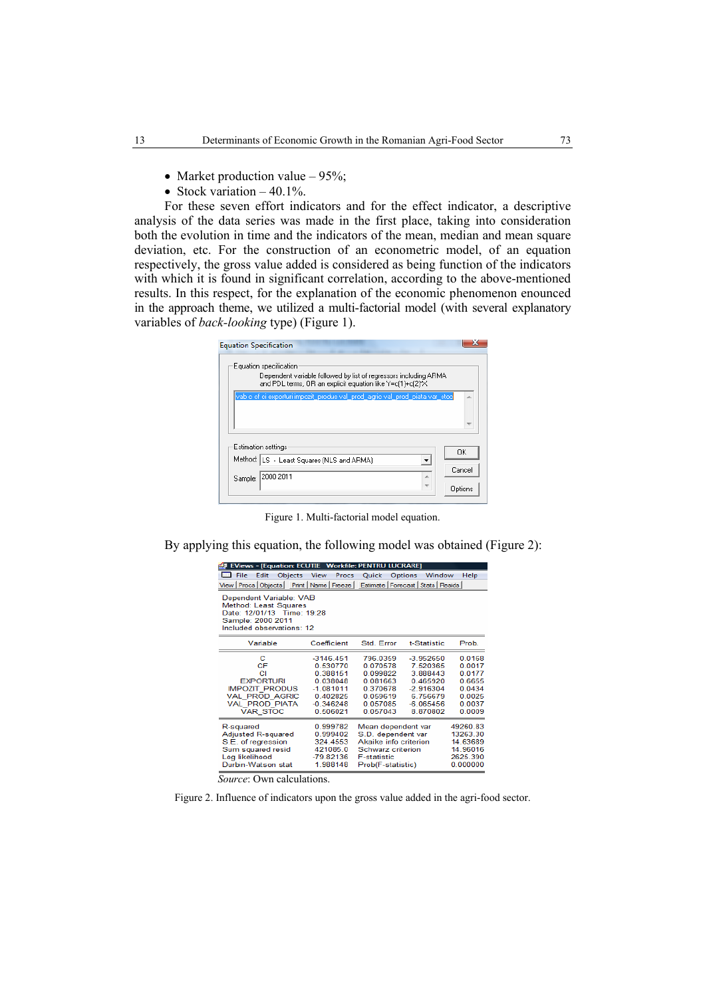- Market production value  $-95\%$ :
- Stock variation  $-40.1\%$ .

For these seven effort indicators and for the effect indicator, a descriptive analysis of the data series was made in the first place, taking into consideration both the evolution in time and the indicators of the mean, median and mean square deviation, etc. For the construction of an econometric model, of an equation respectively, the gross value added is considered as being function of the indicators with which it is found in significant correlation, according to the above-mentioned results. In this respect, for the explanation of the economic phenomenon enounced in the approach theme, we utilized a multi-factorial model (with several explanatory variables of *back-looking* type) (Figure 1).

| <b>Equation Specification</b>                                                                                                                            |         |
|----------------------------------------------------------------------------------------------------------------------------------------------------------|---------|
| Equation specification<br>Dependent variable followed by list of regressors including ARMA<br>and PDL terms, OR an explicit equation like Y=c(1)+c(2)*X. |         |
| vab c cf ci exporturi impozit_produs val_prod_agric val_prod_piata var_stoc                                                                              | À       |
| Estimation settings<br>Method: LS - Least Squares (NLS and ARMA)                                                                                         | OK      |
| 2000 2011<br>A<br>Sample:                                                                                                                                | Cancel  |
| ÷                                                                                                                                                        | Options |

Figure 1. Multi-factorial model equation.

By applying this equation, the following model was obtained (Figure 2):

| <b>EViews - [Equation: ECUTIE Workfile: PENTRU LUCRARE]</b><br>жŅ.                                                                     |                                                                                                       |                                                                                                                                   |                                                                                                       |                                                                              |  |  |  |  |
|----------------------------------------------------------------------------------------------------------------------------------------|-------------------------------------------------------------------------------------------------------|-----------------------------------------------------------------------------------------------------------------------------------|-------------------------------------------------------------------------------------------------------|------------------------------------------------------------------------------|--|--|--|--|
| <b>EE</b> File<br>Edit<br>Objects                                                                                                      | View<br>Procs                                                                                         | Quick                                                                                                                             | Window<br>Options                                                                                     | Help                                                                         |  |  |  |  |
| View Procs Objects                                                                                                                     | Print   Name   Freeze                                                                                 |                                                                                                                                   | Estimate   Forecast   Stats   Resids                                                                  |                                                                              |  |  |  |  |
| Dependent Variable: VAB<br>Method: Least Squares<br>Date: 12/01/13 Time: 19:28<br>Sample: 2000 2011<br>Included observations: 12       |                                                                                                       |                                                                                                                                   |                                                                                                       |                                                                              |  |  |  |  |
| Variable                                                                                                                               | Coefficient                                                                                           | Std. Error                                                                                                                        | t-Statistic                                                                                           | Prob.                                                                        |  |  |  |  |
| с<br><b>CF</b><br>СI<br><b>EXPORTURI</b><br><b>IMPOZIT PRODUS</b><br><b>VAL PROD AGRIC</b><br><b>VAL PROD PIATA</b><br><b>VAR STOC</b> | $-3146.451$<br>0.530770<br>0.388151<br>0.038048<br>$-1.081011$<br>0.402825<br>$-0.346248$<br>0.506021 | 796.0359<br>0.070578<br>0.099822<br>0.081663<br>0.370678<br>0.059619<br>0.057085<br>0.057043                                      | $-3.952650$<br>7.520365<br>3.888443<br>0.465920<br>$-2.916304$<br>6.756679<br>$-6.065456$<br>8.870802 | 0.0168<br>0.0017<br>0.0177<br>0.6655<br>0.0434<br>0.0025<br>0.0037<br>0.0009 |  |  |  |  |
| R-squared<br><b>Adjusted R-squared</b><br>S.E. of regression<br>Sum squared resid<br>Log likelihood<br>Durbin-Watson stat              | 0.999782<br>0.999402<br>324 4553<br>421085.0<br>$-79.82136$<br>1.988148                               | Mean dependent var<br>S.D. dependent var<br>Akaike info criterion<br>Schwarz criterion<br><b>F-statistic</b><br>Prob(F-statistic) |                                                                                                       | 49260.83<br>13263.30<br>14.63689<br>14.96016<br>2625.390<br>0.000000         |  |  |  |  |

 *Source*: Own calculations.

Figure 2. Influence of indicators upon the gross value added in the agri-food sector.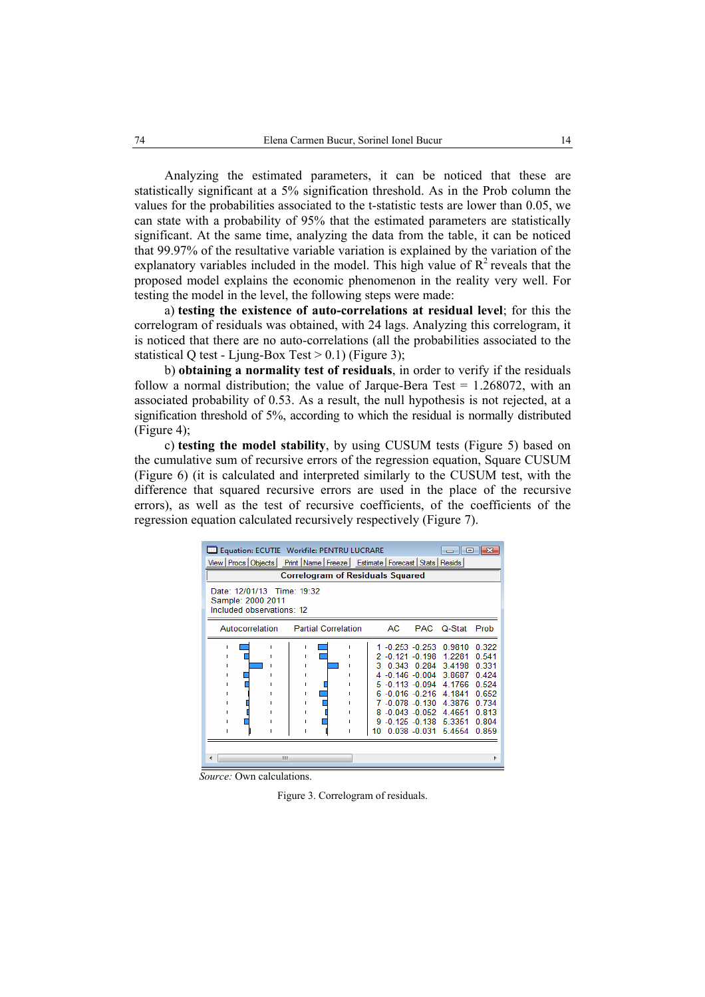Analyzing the estimated parameters, it can be noticed that these are statistically significant at a 5% signification threshold. As in the Prob column the values for the probabilities associated to the t-statistic tests are lower than 0.05, we can state with a probability of 95% that the estimated parameters are statistically significant. At the same time, analyzing the data from the table, it can be noticed that 99.97% of the resultative variable variation is explained by the variation of the explanatory variables included in the model. This high value of  $R^2$  reveals that the proposed model explains the economic phenomenon in the reality very well. For testing the model in the level, the following steps were made:

a) **testing the existence of auto-correlations at residual level**; for this the correlogram of residuals was obtained, with 24 lags. Analyzing this correlogram, it is noticed that there are no auto-correlations (all the probabilities associated to the statistical Q test - Ljung-Box Test  $> 0.1$ ) (Figure 3);

b) **obtaining a normality test of residuals**, in order to verify if the residuals follow a normal distribution; the value of Jarque-Bera Test  $= 1.268072$ , with an associated probability of 0.53. As a result, the null hypothesis is not rejected, at a signification threshold of 5%, according to which the residual is normally distributed (Figure 4);

c) **testing the model stability**, by using CUSUM tests (Figure 5) based on the cumulative sum of recursive errors of the regression equation, Square CUSUM (Figure 6) (it is calculated and interpreted similarly to the CUSUM test, with the difference that squared recursive errors are used in the place of the recursive errors), as well as the test of recursive coefficients, of the coefficients of the regression equation calculated recursively respectively (Figure 7).

| Equation: ECUTIE Workfile: PENTRU LUCRARE<br>ra lex<br>$\Box$                       |                            |                                                                                                                                                                                                   |                                |                                                                    |                                                                                        |  |  |  |
|-------------------------------------------------------------------------------------|----------------------------|---------------------------------------------------------------------------------------------------------------------------------------------------------------------------------------------------|--------------------------------|--------------------------------------------------------------------|----------------------------------------------------------------------------------------|--|--|--|
| View Procs   Objects   Print   Name   Freeze   Estimate   Forecast   Stats   Resids |                            |                                                                                                                                                                                                   |                                |                                                                    |                                                                                        |  |  |  |
| <b>Correlogram of Residuals Squared</b>                                             |                            |                                                                                                                                                                                                   |                                |                                                                    |                                                                                        |  |  |  |
| Date: 12/01/13 Time: 19:32<br>Sample: 2000 2011<br>Included observations: 12        |                            |                                                                                                                                                                                                   |                                |                                                                    |                                                                                        |  |  |  |
| Autocorrelation                                                                     | <b>Partial Correlation</b> | AC.                                                                                                                                                                                               |                                | PAC Q-Stat                                                         | Prob                                                                                   |  |  |  |
|                                                                                     |                            | 1 -0.253 -0.253 0.9810<br>2 -0.121 -0.198<br>з<br>$4 - 0.146 - 0.004$<br>$5 - 0.113 - 0.094$<br>$6 - 0.016 - 0.216$<br>7 -0.078 -0.130<br>8 -0.043 -0.052 4.4651<br>9 -0.125 -0.138 5.3351<br>10. | 0 343 0 284<br>$0.038 - 0.031$ | 1 2281<br>3.4198<br>3.8687<br>4.1766<br>4.1841<br>4.3876<br>5.4554 | 0.322<br>0.541<br>0.331<br>0.424<br>0.524<br>0.652<br>0.734<br>0.813<br>0.804<br>0.859 |  |  |  |
| m                                                                                   |                            |                                                                                                                                                                                                   |                                |                                                                    |                                                                                        |  |  |  |

 *Source:* Own calculations.

Figure 3. Correlogram of residuals.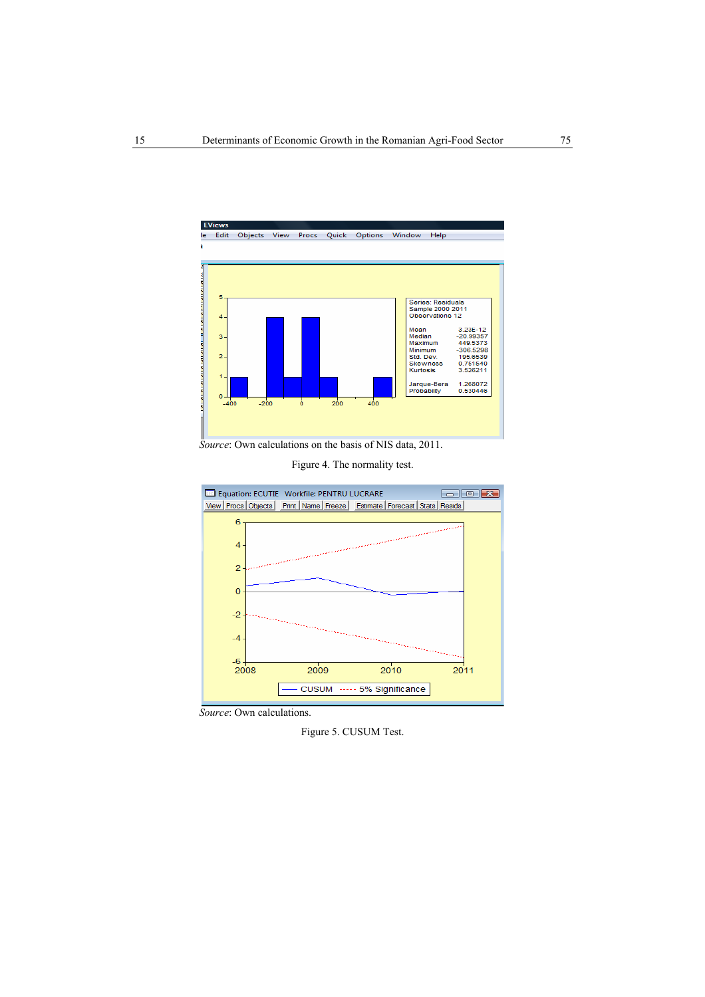

 *Source*: Own calculations on the basis of NIS data, 2011.





 *Source*: Own calculations.

Figure 5. CUSUM Test.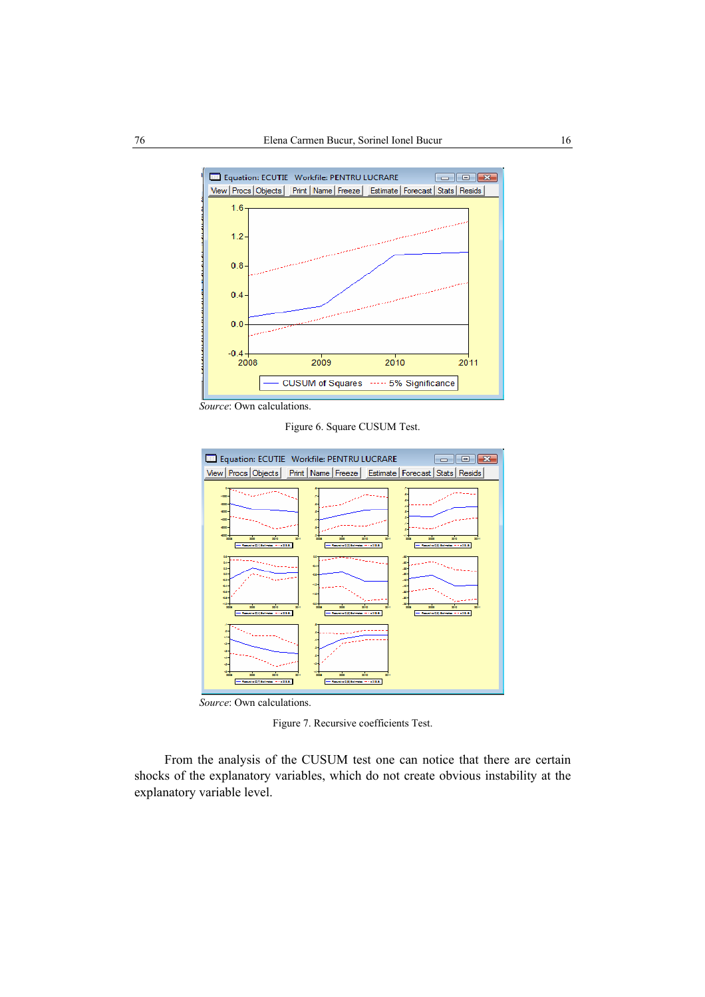

 *Source*: Own calculations.

Figure 6. Square CUSUM Test.



 *Source*: Own calculations.

Figure 7. Recursive coefficients Test.

From the analysis of the CUSUM test one can notice that there are certain shocks of the explanatory variables, which do not create obvious instability at the explanatory variable level.